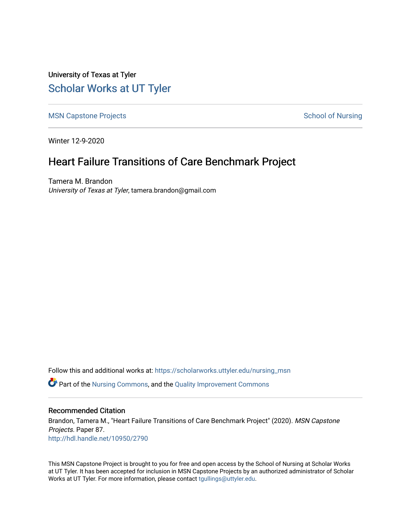University of Texas at Tyler [Scholar Works at UT Tyler](https://scholarworks.uttyler.edu/) 

[MSN Capstone Projects](https://scholarworks.uttyler.edu/nursing_msn) **School of Nursing** School of Nursing

Winter 12-9-2020

# Heart Failure Transitions of Care Benchmark Project

Tamera M. Brandon University of Texas at Tyler, tamera.brandon@gmail.com

Follow this and additional works at: [https://scholarworks.uttyler.edu/nursing\\_msn](https://scholarworks.uttyler.edu/nursing_msn?utm_source=scholarworks.uttyler.edu%2Fnursing_msn%2F87&utm_medium=PDF&utm_campaign=PDFCoverPages)

Part of the [Nursing Commons,](http://network.bepress.com/hgg/discipline/718?utm_source=scholarworks.uttyler.edu%2Fnursing_msn%2F87&utm_medium=PDF&utm_campaign=PDFCoverPages) and the [Quality Improvement Commons](http://network.bepress.com/hgg/discipline/1430?utm_source=scholarworks.uttyler.edu%2Fnursing_msn%2F87&utm_medium=PDF&utm_campaign=PDFCoverPages)

### Recommended Citation

Brandon, Tamera M., "Heart Failure Transitions of Care Benchmark Project" (2020). MSN Capstone Projects. Paper 87. [http://hdl.handle.net/10950/2790](http://hdl.handle.net/10950/2790?utm_source=scholarworks.uttyler.edu%2Fnursing_msn%2F87&utm_medium=PDF&utm_campaign=PDFCoverPages) 

This MSN Capstone Project is brought to you for free and open access by the School of Nursing at Scholar Works at UT Tyler. It has been accepted for inclusion in MSN Capstone Projects by an authorized administrator of Scholar Works at UT Tyler. For more information, please contact [tgullings@uttyler.edu](mailto:tgullings@uttyler.edu).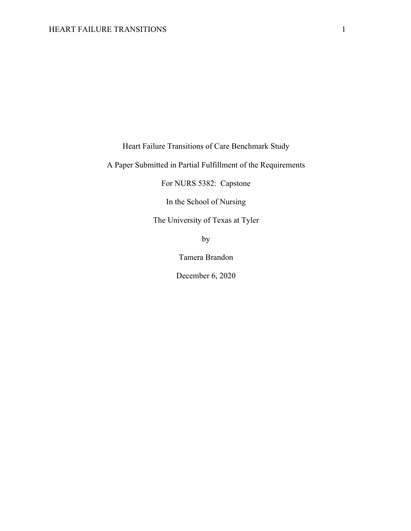Heart Failure Transitions of Care Benchmark Study

A Paper Submitted in Partial Fulfillment of the Requirements

For NURS 5382: Capstone

In the School of Nursing

The University of Texas at Tyler

by

Tamera Brandon

December 6, 2020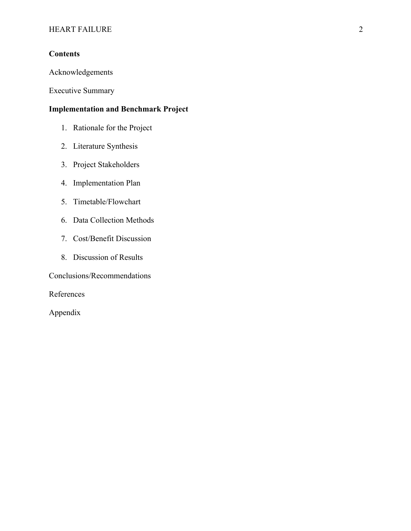# **Contents**

Acknowledgements

Executive Summary

# **Implementation and Benchmark Project**

- 1. Rationale for the Project
- 2. Literature Synthesis
- 3. Project Stakeholders
- 4. Implementation Plan
- 5. Timetable/Flowchart
- 6. Data Collection Methods
- 7. Cost/Benefit Discussion
- 8. Discussion of Results

Conclusions/Recommendations

References

Appendix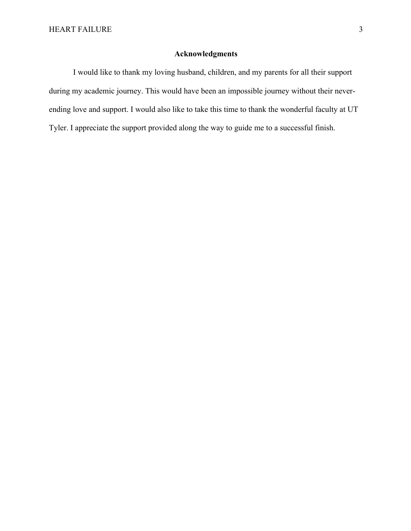# **Acknowledgments**

I would like to thank my loving husband, children, and my parents for all their support during my academic journey. This would have been an impossible journey without their neverending love and support. I would also like to take this time to thank the wonderful faculty at UT Tyler. I appreciate the support provided along the way to guide me to a successful finish.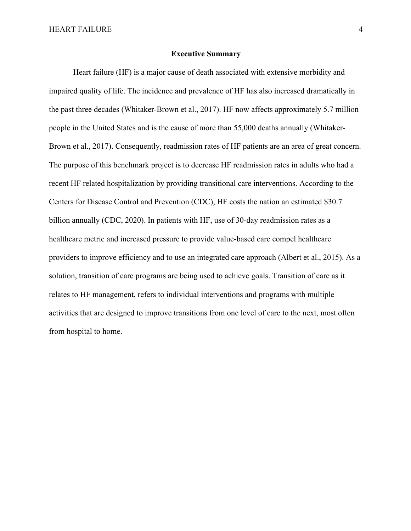#### **Executive Summary**

Heart failure (HF) is a major cause of death associated with extensive morbidity and impaired quality of life. The incidence and prevalence of HF has also increased dramatically in the past three decades (Whitaker-Brown et al., 2017). HF now affects approximately 5.7 million people in the United States and is the cause of more than 55,000 deaths annually (Whitaker-Brown et al., 2017). Consequently, readmission rates of HF patients are an area of great concern. The purpose of this benchmark project is to decrease HF readmission rates in adults who had a recent HF related hospitalization by providing transitional care interventions. According to the Centers for Disease Control and Prevention (CDC), HF costs the nation an estimated \$30.7 billion annually (CDC, 2020). In patients with HF, use of 30-day readmission rates as a healthcare metric and increased pressure to provide value-based care compel healthcare providers to improve efficiency and to use an integrated care approach (Albert et al., 2015). As a solution, transition of care programs are being used to achieve goals. Transition of care as it relates to HF management, refers to individual interventions and programs with multiple activities that are designed to improve transitions from one level of care to the next, most often from hospital to home.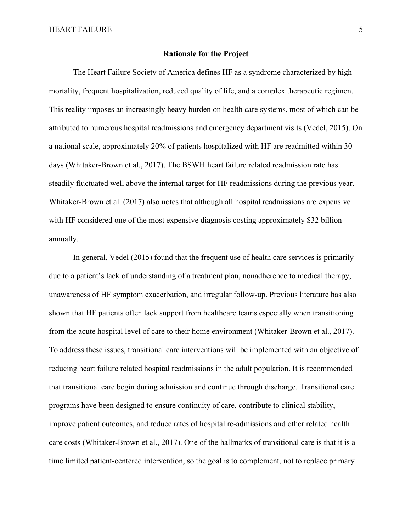#### **Rationale for the Project**

The Heart Failure Society of America defines HF as a syndrome characterized by high mortality, frequent hospitalization, reduced quality of life, and a complex therapeutic regimen. This reality imposes an increasingly heavy burden on health care systems, most of which can be attributed to numerous hospital readmissions and emergency department visits (Vedel, 2015). On a national scale, approximately 20% of patients hospitalized with HF are readmitted within 30 days (Whitaker-Brown et al., 2017). The BSWH heart failure related readmission rate has steadily fluctuated well above the internal target for HF readmissions during the previous year. Whitaker-Brown et al. (2017) also notes that although all hospital readmissions are expensive with HF considered one of the most expensive diagnosis costing approximately \$32 billion annually.

In general, Vedel (2015) found that the frequent use of health care services is primarily due to a patient's lack of understanding of a treatment plan, nonadherence to medical therapy, unawareness of HF symptom exacerbation, and irregular follow-up. Previous literature has also shown that HF patients often lack support from healthcare teams especially when transitioning from the acute hospital level of care to their home environment (Whitaker-Brown et al., 2017). To address these issues, transitional care interventions will be implemented with an objective of reducing heart failure related hospital readmissions in the adult population. It is recommended that transitional care begin during admission and continue through discharge. Transitional care programs have been designed to ensure continuity of care, contribute to clinical stability, improve patient outcomes, and reduce rates of hospital re-admissions and other related health care costs (Whitaker-Brown et al., 2017). One of the hallmarks of transitional care is that it is a time limited patient-centered intervention, so the goal is to complement, not to replace primary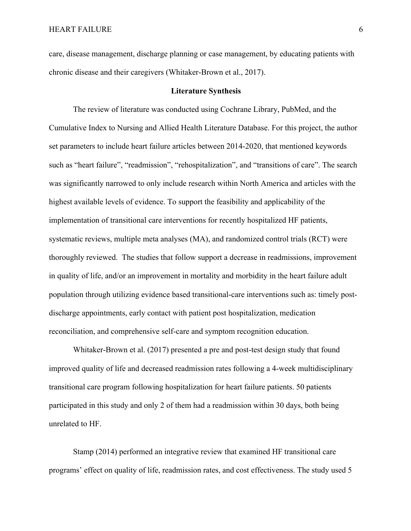care, disease management, discharge planning or case management, by educating patients with chronic disease and their caregivers (Whitaker-Brown et al., 2017).

#### **Literature Synthesis**

The review of literature was conducted using Cochrane Library, PubMed, and the Cumulative Index to Nursing and Allied Health Literature Database. For this project, the author set parameters to include heart failure articles between 2014-2020, that mentioned keywords such as "heart failure", "readmission", "rehospitalization", and "transitions of care". The search was significantly narrowed to only include research within North America and articles with the highest available levels of evidence. To support the feasibility and applicability of the implementation of transitional care interventions for recently hospitalized HF patients, systematic reviews, multiple meta analyses (MA), and randomized control trials (RCT) were thoroughly reviewed. The studies that follow support a decrease in readmissions, improvement in quality of life, and/or an improvement in mortality and morbidity in the heart failure adult population through utilizing evidence based transitional-care interventions such as: timely postdischarge appointments, early contact with patient post hospitalization, medication reconciliation, and comprehensive self-care and symptom recognition education.

Whitaker-Brown et al. (2017) presented a pre and post-test design study that found improved quality of life and decreased readmission rates following a 4-week multidisciplinary transitional care program following hospitalization for heart failure patients. 50 patients participated in this study and only 2 of them had a readmission within 30 days, both being unrelated to HF.

Stamp (2014) performed an integrative review that examined HF transitional care programs' effect on quality of life, readmission rates, and cost effectiveness. The study used 5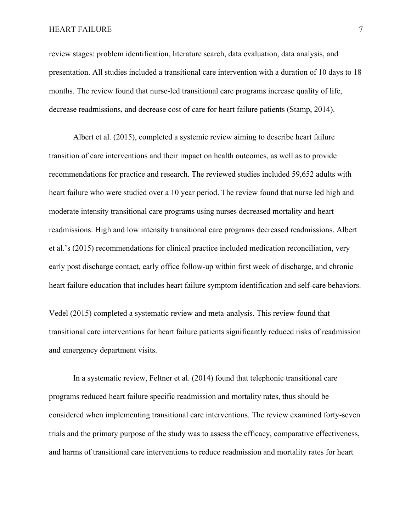## HEART FAILURE 7

review stages: problem identification, literature search, data evaluation, data analysis, and presentation. All studies included a transitional care intervention with a duration of 10 days to 18 months. The review found that nurse-led transitional care programs increase quality of life, decrease readmissions, and decrease cost of care for heart failure patients (Stamp, 2014).

Albert et al. (2015), completed a systemic review aiming to describe heart failure transition of care interventions and their impact on health outcomes, as well as to provide recommendations for practice and research. The reviewed studies included 59,652 adults with heart failure who were studied over a 10 year period. The review found that nurse led high and moderate intensity transitional care programs using nurses decreased mortality and heart readmissions. High and low intensity transitional care programs decreased readmissions. Albert et al.'s (2015) recommendations for clinical practice included medication reconciliation, very early post discharge contact, early office follow-up within first week of discharge, and chronic heart failure education that includes heart failure symptom identification and self-care behaviors.

Vedel (2015) completed a systematic review and meta-analysis. This review found that transitional care interventions for heart failure patients significantly reduced risks of readmission and emergency department visits.

In a systematic review, Feltner et al. (2014) found that telephonic transitional care programs reduced heart failure specific readmission and mortality rates, thus should be considered when implementing transitional care interventions. The review examined forty-seven trials and the primary purpose of the study was to assess the efficacy, comparative effectiveness, and harms of transitional care interventions to reduce readmission and mortality rates for heart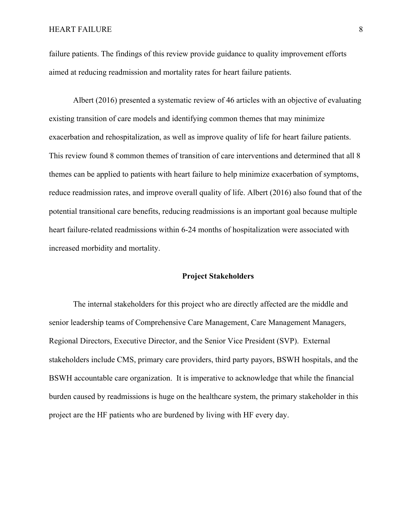## HEART FAILURE 8

failure patients. The findings of this review provide guidance to quality improvement efforts aimed at reducing readmission and mortality rates for heart failure patients.

Albert (2016) presented a systematic review of 46 articles with an objective of evaluating existing transition of care models and identifying common themes that may minimize exacerbation and rehospitalization, as well as improve quality of life for heart failure patients. This review found 8 common themes of transition of care interventions and determined that all 8 themes can be applied to patients with heart failure to help minimize exacerbation of symptoms, reduce readmission rates, and improve overall quality of life. Albert (2016) also found that of the potential transitional care benefits, reducing readmissions is an important goal because multiple heart failure-related readmissions within 6-24 months of hospitalization were associated with increased morbidity and mortality.

### **Project Stakeholders**

The internal stakeholders for this project who are directly affected are the middle and senior leadership teams of Comprehensive Care Management, Care Management Managers, Regional Directors, Executive Director, and the Senior Vice President (SVP). External stakeholders include CMS, primary care providers, third party payors, BSWH hospitals, and the BSWH accountable care organization. It is imperative to acknowledge that while the financial burden caused by readmissions is huge on the healthcare system, the primary stakeholder in this project are the HF patients who are burdened by living with HF every day.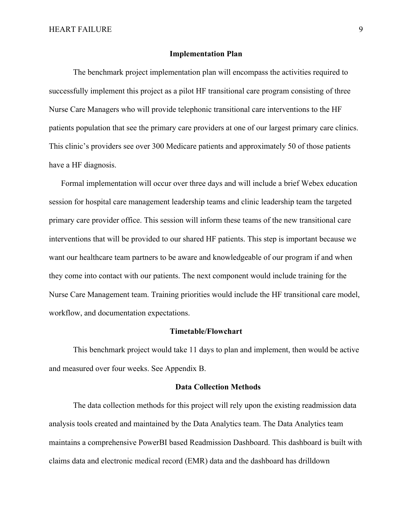#### **Implementation Plan**

The benchmark project implementation plan will encompass the activities required to successfully implement this project as a pilot HF transitional care program consisting of three Nurse Care Managers who will provide telephonic transitional care interventions to the HF patients population that see the primary care providers at one of our largest primary care clinics. This clinic's providers see over 300 Medicare patients and approximately 50 of those patients have a HF diagnosis.

Formal implementation will occur over three days and will include a brief Webex education session for hospital care management leadership teams and clinic leadership team the targeted primary care provider office. This session will inform these teams of the new transitional care interventions that will be provided to our shared HF patients. This step is important because we want our healthcare team partners to be aware and knowledgeable of our program if and when they come into contact with our patients. The next component would include training for the Nurse Care Management team. Training priorities would include the HF transitional care model, workflow, and documentation expectations.

#### **Timetable/Flowchart**

This benchmark project would take 11 days to plan and implement, then would be active and measured over four weeks. See Appendix B.

## **Data Collection Methods**

The data collection methods for this project will rely upon the existing readmission data analysis tools created and maintained by the Data Analytics team. The Data Analytics team maintains a comprehensive PowerBI based Readmission Dashboard. This dashboard is built with claims data and electronic medical record (EMR) data and the dashboard has drilldown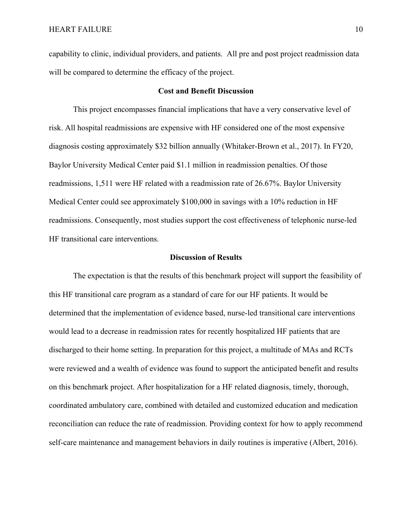capability to clinic, individual providers, and patients. All pre and post project readmission data will be compared to determine the efficacy of the project.

#### **Cost and Benefit Discussion**

This project encompasses financial implications that have a very conservative level of risk. All hospital readmissions are expensive with HF considered one of the most expensive diagnosis costing approximately \$32 billion annually (Whitaker-Brown et al., 2017). In FY20, Baylor University Medical Center paid \$1.1 million in readmission penalties. Of those readmissions, 1,511 were HF related with a readmission rate of 26.67%. Baylor University Medical Center could see approximately \$100,000 in savings with a 10% reduction in HF readmissions. Consequently, most studies support the cost effectiveness of telephonic nurse-led HF transitional care interventions.

#### **Discussion of Results**

The expectation is that the results of this benchmark project will support the feasibility of this HF transitional care program as a standard of care for our HF patients. It would be determined that the implementation of evidence based, nurse-led transitional care interventions would lead to a decrease in readmission rates for recently hospitalized HF patients that are discharged to their home setting. In preparation for this project, a multitude of MAs and RCTs were reviewed and a wealth of evidence was found to support the anticipated benefit and results on this benchmark project. After hospitalization for a HF related diagnosis, timely, thorough, coordinated ambulatory care, combined with detailed and customized education and medication reconciliation can reduce the rate of readmission. Providing context for how to apply recommend self-care maintenance and management behaviors in daily routines is imperative (Albert, 2016).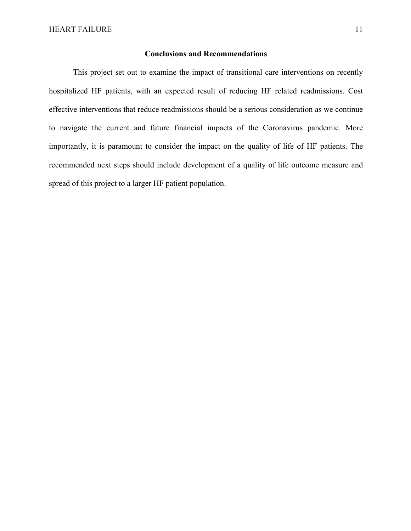#### **Conclusions and Recommendations**

This project set out to examine the impact of transitional care interventions on recently hospitalized HF patients, with an expected result of reducing HF related readmissions. Cost effective interventions that reduce readmissions should be a serious consideration as we continue to navigate the current and future financial impacts of the Coronavirus pandemic. More importantly, it is paramount to consider the impact on the quality of life of HF patients. The recommended next steps should include development of a quality of life outcome measure and spread of this project to a larger HF patient population.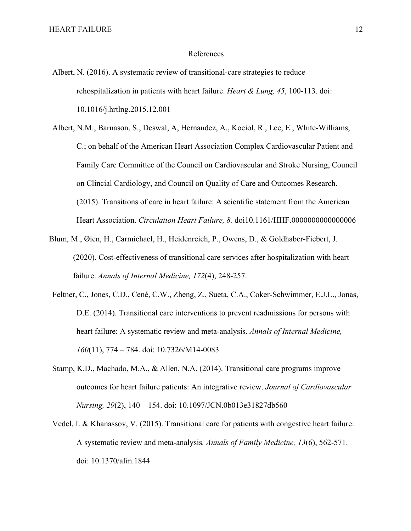#### References

- Albert, N. (2016). A systematic review of transitional-care strategies to reduce rehospitalization in patients with heart failure. *Heart & Lung, 45*, 100-113. doi: 10.1016/j.hrtlng.2015.12.001
- Albert, N.M., Barnason, S., Deswal, A, Hernandez, A., Kociol, R., Lee, E., White-Williams, C.; on behalf of the American Heart Association Complex Cardiovascular Patient and Family Care Committee of the Council on Cardiovascular and Stroke Nursing, Council on Clincial Cardiology, and Council on Quality of Care and Outcomes Research. (2015). Transitions of care in heart failure: A scientific statement from the American Heart Association. *Circulation Heart Failure, 8.* doi10.1161/HHF.0000000000000006
- Blum, M., Øien, H., Carmichael, H., Heidenreich, P., Owens, D., & Goldhaber-Fiebert, J. (2020). Cost-effectiveness of transitional care services after hospitalization with heart failure. *Annals of Internal Medicine, 172*(4), 248-257.
- Feltner, C., Jones, C.D., Cené, C.W., Zheng, Z., Sueta, C.A., Coker-Schwimmer, E.J.L., Jonas, D.E. (2014). Transitional care interventions to prevent readmissions for persons with heart failure: A systematic review and meta-analysis. *Annals of Internal Medicine, 160*(11), 774 – 784. doi: 10.7326/M14-0083
- Stamp, K.D., Machado, M.A., & Allen, N.A. (2014). Transitional care programs improve outcomes for heart failure patients: An integrative review. *Journal of Cardiovascular Nursing, 29*(2), 140 – 154. doi: 10.1097/JCN.0b013e31827db560
- Vedel, I. & Khanassov, V. (2015). Transitional care for patients with congestive heart failure: A systematic review and meta-analysis*. Annals of Family Medicine, 13*(6), 562-571. doi: 10.1370/afm.1844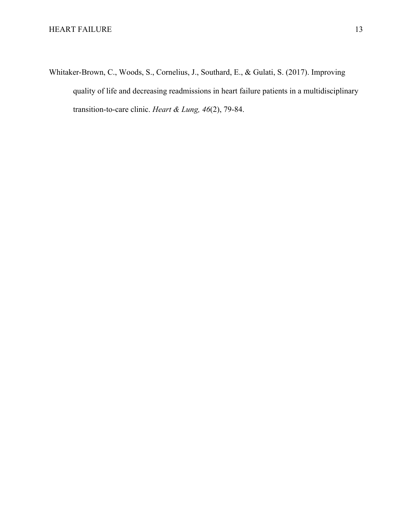Whitaker-Brown, C., Woods, S., Cornelius, J., Southard, E., & Gulati, S. (2017). Improving quality of life and decreasing readmissions in heart failure patients in a multidisciplinary transition-to-care clinic. *Heart & Lung, 46*(2), 79-84.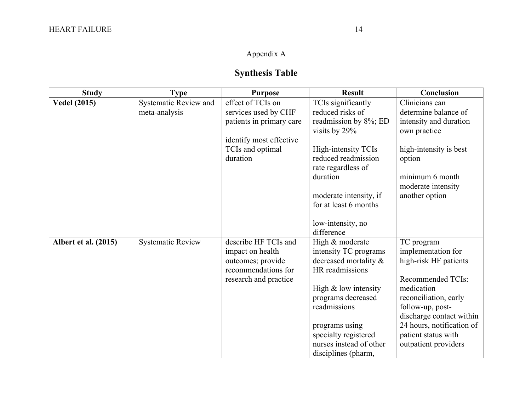# Appendix A

# **Synthesis Table**

| <b>Study</b>         | <b>Type</b>              | <b>Purpose</b>                           | <b>Result</b>                            | Conclusion                |
|----------------------|--------------------------|------------------------------------------|------------------------------------------|---------------------------|
| <b>Vedel (2015)</b>  | Systematic Review and    | effect of TCIs on                        | TCIs significantly                       | Clinicians can            |
|                      | meta-analysis            | services used by CHF                     | reduced risks of                         | determine balance of      |
|                      |                          | patients in primary care                 | readmission by 8%; ED                    | intensity and duration    |
|                      |                          |                                          | visits by 29%                            | own practice              |
|                      |                          | identify most effective                  |                                          |                           |
|                      |                          | TCIs and optimal                         | High-intensity TCIs                      | high-intensity is best    |
|                      |                          | duration                                 | reduced readmission                      | option                    |
|                      |                          |                                          | rate regardless of                       |                           |
|                      |                          |                                          | duration                                 | minimum 6 month           |
|                      |                          |                                          |                                          | moderate intensity        |
|                      |                          |                                          | moderate intensity, if                   | another option            |
|                      |                          |                                          | for at least 6 months                    |                           |
|                      |                          |                                          |                                          |                           |
|                      |                          |                                          | low-intensity, no                        |                           |
|                      |                          |                                          | difference                               |                           |
| Albert et al. (2015) | <b>Systematic Review</b> | describe HF TCIs and                     | High & moderate                          | TC program                |
|                      |                          | impact on health                         | intensity TC programs                    | implementation for        |
|                      |                          | outcomes; provide<br>recommendations for | decreased mortality &<br>HR readmissions | high-risk HF patients     |
|                      |                          |                                          |                                          | Recommended TCIs:         |
|                      |                          | research and practice                    | High & low intensity                     | medication                |
|                      |                          |                                          | programs decreased                       | reconciliation, early     |
|                      |                          |                                          | readmissions                             | follow-up, post-          |
|                      |                          |                                          |                                          | discharge contact within  |
|                      |                          |                                          | programs using                           | 24 hours, notification of |
|                      |                          |                                          | specialty registered                     | patient status with       |
|                      |                          |                                          | nurses instead of other                  | outpatient providers      |
|                      |                          |                                          | disciplines (pharm,                      |                           |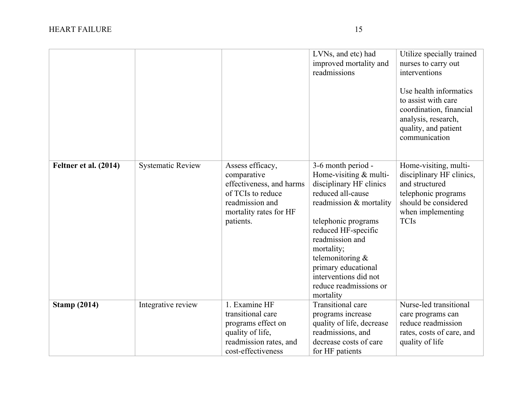|                       |                          |                                                                                                                                            | LVNs, and etc) had<br>improved mortality and<br>readmissions                                                                                                                                                                                                                                                      | Utilize specially trained<br>nurses to carry out<br>interventions<br>Use health informatics<br>to assist with care<br>coordination, financial<br>analysis, research,<br>quality, and patient<br>communication |
|-----------------------|--------------------------|--------------------------------------------------------------------------------------------------------------------------------------------|-------------------------------------------------------------------------------------------------------------------------------------------------------------------------------------------------------------------------------------------------------------------------------------------------------------------|---------------------------------------------------------------------------------------------------------------------------------------------------------------------------------------------------------------|
| Feltner et al. (2014) | <b>Systematic Review</b> | Assess efficacy,<br>comparative<br>effectiveness, and harms<br>of TCIs to reduce<br>readmission and<br>mortality rates for HF<br>patients. | 3-6 month period -<br>Home-visiting & multi-<br>disciplinary HF clinics<br>reduced all-cause<br>readmission & mortality<br>telephonic programs<br>reduced HF-specific<br>readmission and<br>mortality;<br>telemonitoring &<br>primary educational<br>interventions did not<br>reduce readmissions or<br>mortality | Home-visiting, multi-<br>disciplinary HF clinics,<br>and structured<br>telephonic programs<br>should be considered<br>when implementing<br><b>TCIs</b>                                                        |
| <b>Stamp (2014)</b>   | Integrative review       | 1. Examine HF<br>transitional care<br>programs effect on<br>quality of life,<br>readmission rates, and<br>cost-effectiveness               | Transitional care<br>programs increase<br>quality of life, decrease<br>readmissions, and<br>decrease costs of care<br>for HF patients                                                                                                                                                                             | Nurse-led transitional<br>care programs can<br>reduce readmission<br>rates, costs of care, and<br>quality of life                                                                                             |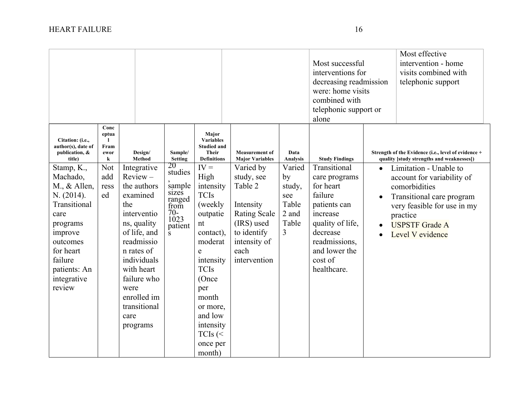|                                                                                                                                                                                    |                                                    |                                                                                                                                                                                                                                              |                                                                                                  |                                                                                                                                                                                                                                 |                                                                                                                                             |                                                                            | Most successful<br>interventions for<br>decreasing readmission<br>were: home visits<br>combined with<br>telephonic support or<br>alone                                        | Most effective<br>intervention - home<br>visits combined with<br>telephonic support                                                                                                        |
|------------------------------------------------------------------------------------------------------------------------------------------------------------------------------------|----------------------------------------------------|----------------------------------------------------------------------------------------------------------------------------------------------------------------------------------------------------------------------------------------------|--------------------------------------------------------------------------------------------------|---------------------------------------------------------------------------------------------------------------------------------------------------------------------------------------------------------------------------------|---------------------------------------------------------------------------------------------------------------------------------------------|----------------------------------------------------------------------------|-------------------------------------------------------------------------------------------------------------------------------------------------------------------------------|--------------------------------------------------------------------------------------------------------------------------------------------------------------------------------------------|
| Citation: (i.e.,<br>author(s), date of<br>publication, &<br>title)                                                                                                                 | Conc<br>eptua<br>$\mathbf{I}$<br>Fram<br>ewor<br>k | Design/<br>Method                                                                                                                                                                                                                            | Sample/<br><b>Setting</b>                                                                        | Major<br><b>Variables</b><br><b>Studied and</b><br><b>Their</b><br><b>Definitions</b>                                                                                                                                           | <b>Measurement</b> of<br><b>Major Variables</b>                                                                                             | Data<br>Analysis                                                           | <b>Study Findings</b>                                                                                                                                                         | Strength of the Evidence (i.e., level of evidence +<br>quality [study strengths and weaknesses])                                                                                           |
| Stamp, K.,<br>Machado,<br>$M., &$ Allen,<br>N. (2014).<br>Transitional<br>care<br>programs<br>improve<br>outcomes<br>for heart<br>failure<br>patients: An<br>integrative<br>review | Not<br>add<br>ress<br>ed                           | Integrative<br>$Review -$<br>the authors<br>examined<br>the<br>interventio<br>ns, quality<br>of life, and<br>readmissio<br>n rates of<br>individuals<br>with heart<br>failure who<br>were<br>enrolled im<br>transitional<br>care<br>programs | 20<br>studies<br>sample<br>sizes<br>ranged<br>from<br>$70-$<br>1023<br>patient<br>$\overline{s}$ | $IV =$<br>High<br>intensity<br><b>TCIs</b><br>(weekly<br>outpatie<br>nt<br>contact),<br>moderat<br>e<br>intensity<br><b>TCIs</b><br>(Once<br>per<br>month<br>or more,<br>and low<br>intensity<br>TCIs $($<br>once per<br>month) | Varied by<br>study, see<br>Table 2<br>Intensity<br><b>Rating Scale</b><br>(IRS) used<br>to identify<br>intensity of<br>each<br>intervention | Varied<br>by<br>study,<br>see<br>Table<br>2 and<br>Table<br>$\overline{3}$ | Transitional<br>care programs<br>for heart<br>failure<br>patients can<br>increase<br>quality of life,<br>decrease<br>readmissions,<br>and lower the<br>cost of<br>healthcare. | Limitation - Unable to<br>account for variability of<br>comorbidities<br>Transitional care program<br>very feasible for use in my<br>practice<br><b>USPSTF</b> Grade A<br>Level V evidence |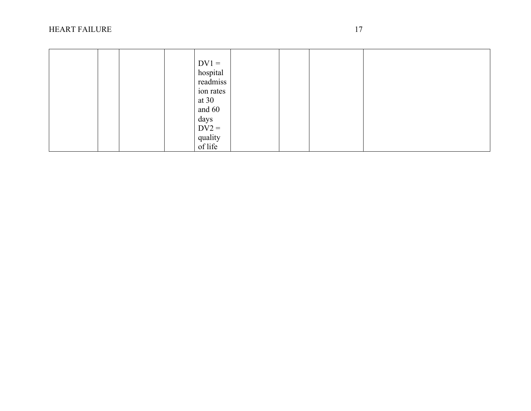# HEART FAILUR

| $DV1 =$   |
|-----------|
| hospital  |
| readmiss  |
| ion rates |
| at $30$   |
| and 60    |
| days      |
| $DV2 =$   |
| quality   |
| of life   |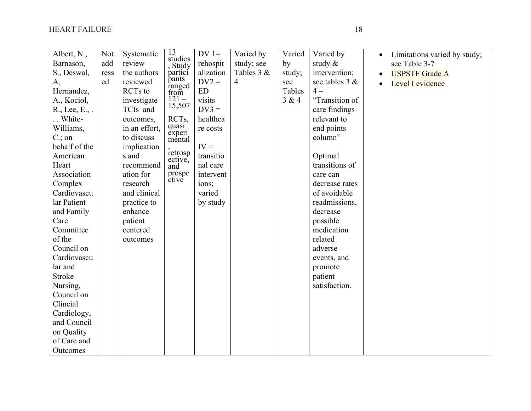| Albert, N.,<br>Barnason,<br>S., Deswal,<br>A,                                                                                                                                                                                                                                                                                                                        | Not<br>add<br>ress<br>ed | Systematic<br>$review -$<br>the authors<br>reviewed                                                                                                                                                                       | 13<br>studies<br>, Study<br>partici<br>pants                                                                              | $DV =$<br>rehospit<br>alization<br>$DV2 =$                                                                                            | Varied by<br>study; see<br>Tables 3 &<br>$\overline{4}$ | Varied<br>by<br>study;<br>see | Varied by<br>study $\&$<br>intervention;<br>see tables 3 &                                                                                                                                                                                                                                    | Limitations varied by study;<br>$\bullet$<br>see Table 3-7<br><b>USPSTF Grade A</b><br>Level I evidence |
|----------------------------------------------------------------------------------------------------------------------------------------------------------------------------------------------------------------------------------------------------------------------------------------------------------------------------------------------------------------------|--------------------------|---------------------------------------------------------------------------------------------------------------------------------------------------------------------------------------------------------------------------|---------------------------------------------------------------------------------------------------------------------------|---------------------------------------------------------------------------------------------------------------------------------------|---------------------------------------------------------|-------------------------------|-----------------------------------------------------------------------------------------------------------------------------------------------------------------------------------------------------------------------------------------------------------------------------------------------|---------------------------------------------------------------------------------------------------------|
| Hernandez,<br>A., Kociol,<br>R., Lee, E., .<br>White-<br>Williams,<br>$C$ ; on<br>behalf of the<br>American<br>Heart<br>Association<br>Complex<br>Cardiovascu<br>lar Patient<br>and Family<br>Care<br>Committee<br>of the<br>Council on<br>Cardiovascu<br>lar and<br><b>Stroke</b><br>Nursing,<br>Council on<br>Clincial<br>Cardiology,<br>and Council<br>on Quality |                          | RCTs to<br>investigate<br>TCIs and<br>outcomes,<br>in an effort,<br>to discuss<br>implication<br>s and<br>recommend<br>ation for<br>research<br>and clinical<br>practice to<br>enhance<br>patient<br>centered<br>outcomes | ranged<br>from<br>$121 -$<br>15,507<br>RCTs,<br>quasi<br>experi<br>mental<br>retrosp<br>ective,<br>and<br>prospe<br>ctive | <b>ED</b><br>visits<br>$DV3 =$<br>healthca<br>re costs<br>$IV =$<br>transitio<br>nal care<br>intervent<br>ions;<br>varied<br>by study |                                                         | Tables<br>3 & 4               | $4-$<br>"Transition of<br>care findings<br>relevant to<br>end points<br>column"<br>Optimal<br>transitions of<br>care can<br>decrease rates<br>of avoidable<br>readmissions,<br>decrease<br>possible<br>medication<br>related<br>adverse<br>events, and<br>promote<br>patient<br>satisfaction. |                                                                                                         |
| of Care and<br>Outcomes                                                                                                                                                                                                                                                                                                                                              |                          |                                                                                                                                                                                                                           |                                                                                                                           |                                                                                                                                       |                                                         |                               |                                                                                                                                                                                                                                                                                               |                                                                                                         |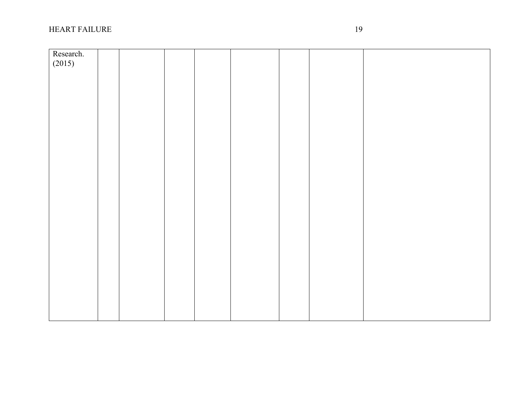# HEART FAILUR

| Research. |  |  |  |  |  |
|-----------|--|--|--|--|--|
| (2015)    |  |  |  |  |  |
|           |  |  |  |  |  |
|           |  |  |  |  |  |
|           |  |  |  |  |  |
|           |  |  |  |  |  |
|           |  |  |  |  |  |
|           |  |  |  |  |  |
|           |  |  |  |  |  |
|           |  |  |  |  |  |
|           |  |  |  |  |  |
|           |  |  |  |  |  |
|           |  |  |  |  |  |
|           |  |  |  |  |  |
|           |  |  |  |  |  |
|           |  |  |  |  |  |
|           |  |  |  |  |  |
|           |  |  |  |  |  |
|           |  |  |  |  |  |
|           |  |  |  |  |  |
|           |  |  |  |  |  |
|           |  |  |  |  |  |
|           |  |  |  |  |  |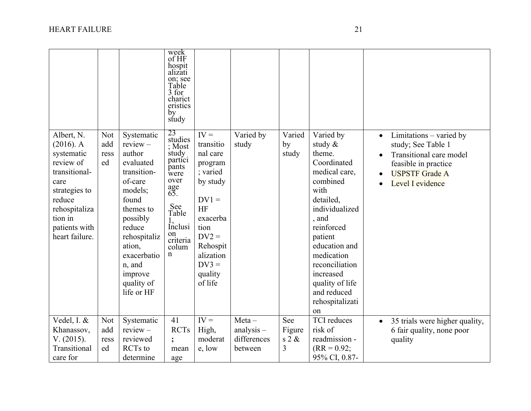|                                                                                                                                                                          |                                 |                                                                                                                                                                                                                            | week<br>of HF<br>hospit<br>alızatı<br>on; see<br>Table<br>3 for<br>charict<br>eristics<br>by<br>study                                                                    |                                                                                                                                                                              |                                         |                             |                                                                                                                                                                                                                                                                              |                                                                                                                                                            |
|--------------------------------------------------------------------------------------------------------------------------------------------------------------------------|---------------------------------|----------------------------------------------------------------------------------------------------------------------------------------------------------------------------------------------------------------------------|--------------------------------------------------------------------------------------------------------------------------------------------------------------------------|------------------------------------------------------------------------------------------------------------------------------------------------------------------------------|-----------------------------------------|-----------------------------|------------------------------------------------------------------------------------------------------------------------------------------------------------------------------------------------------------------------------------------------------------------------------|------------------------------------------------------------------------------------------------------------------------------------------------------------|
| Albert, N.<br>$(2016)$ . A<br>systematic<br>review of<br>transitional-<br>care<br>strategies to<br>reduce<br>rehospitaliza<br>tion in<br>patients with<br>heart failure. | <b>Not</b><br>add<br>ress<br>ed | Systematic<br>$review -$<br>author<br>evaluated<br>transition-<br>of-care<br>models;<br>found<br>themes to<br>possibly<br>reduce<br>rehospitaliz<br>ation,<br>exacerbatio<br>n, and<br>improve<br>quality of<br>life or HF | 23<br>studies<br>; Most<br>study<br>partici<br>pants<br>were<br>over<br>$\underset{65}{\text{age}}$<br>See<br>Table<br>Inclusi<br>on<br>criteria<br>colum<br>$\mathbf n$ | $IV =$<br>transitio<br>nal care<br>program<br>; varied<br>by study<br>$DV1 =$<br>HF<br>exacerba<br>tion<br>$DV2 =$<br>Rehospit<br>alization<br>$DV3 =$<br>quality<br>of life | Varied by<br>study                      | Varied<br>by<br>study       | Varied by<br>study &<br>theme.<br>Coordinated<br>medical care,<br>combined<br>with<br>detailed,<br>individualized<br>, and<br>reinforced<br>patient<br>education and<br>medication<br>reconciliation<br>increased<br>quality of life<br>and reduced<br>rehospitalizati<br>on | Limitations - varied by<br>$\bullet$<br>study; See Table 1<br>Transitional care model<br>feasible in practice<br><b>USPSTF Grade A</b><br>Level I evidence |
| Vedel, I. &<br>Khanassov,<br>V. (2015).                                                                                                                                  | <b>Not</b><br>add<br>ress       | Systematic<br>$review -$<br>reviewed                                                                                                                                                                                       | 41<br><b>RCTs</b>                                                                                                                                                        | $IV =$<br>High,<br>moderat                                                                                                                                                   | $Meta -$<br>$analysis -$<br>differences | See<br>Figure<br>$s$ 2 $\&$ | <b>TCI</b> reduces<br>risk of<br>readmission -                                                                                                                                                                                                                               | 35 trials were higher quality,<br>6 fair quality, none poor<br>quality                                                                                     |
| Transitional<br>care for                                                                                                                                                 | ed                              | <b>RCTs</b> to<br>determine                                                                                                                                                                                                | mean<br>age                                                                                                                                                              | e, low                                                                                                                                                                       | between                                 | 3                           | $(RR = 0.92;$<br>95% CI, 0.87-                                                                                                                                                                                                                                               |                                                                                                                                                            |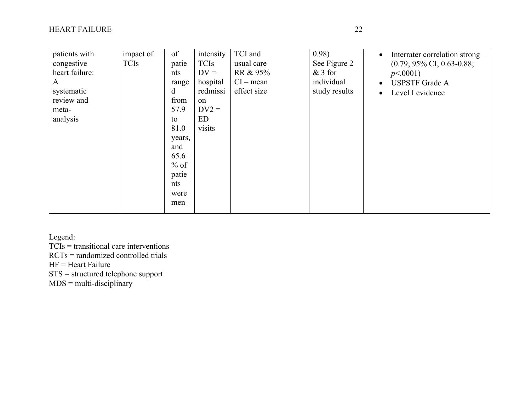| intensity<br>TCI and<br><b>TCIs</b><br>$DV =$<br>hospital<br>range<br>redmissi | 0.98)<br>usual care<br>RR & 95%<br>$CI - mean$<br>effect size | $\bullet$<br>See Figure 2<br>$&$ 3 for<br>individual<br>$\bullet$<br>study results<br>$\bullet$ | Interrater correlation strong –<br>$(0.79; 95\% \text{ CI}, 0.63-0.88;$<br>p<0.001<br><b>USPSTF</b> Grade A<br>Level I evidence |
|--------------------------------------------------------------------------------|---------------------------------------------------------------|-------------------------------------------------------------------------------------------------|---------------------------------------------------------------------------------------------------------------------------------|
| on                                                                             |                                                               |                                                                                                 |                                                                                                                                 |
| $DV2 =$<br><b>ED</b><br>visits<br>years,<br>$%$ of                             |                                                               |                                                                                                 |                                                                                                                                 |
|                                                                                |                                                               |                                                                                                 |                                                                                                                                 |

Legend:

TCIs = transitional care interventions

RCTs = randomized controlled trials

HF = Heart Failure

STS = structured telephone support

MDS = multi-disciplinary